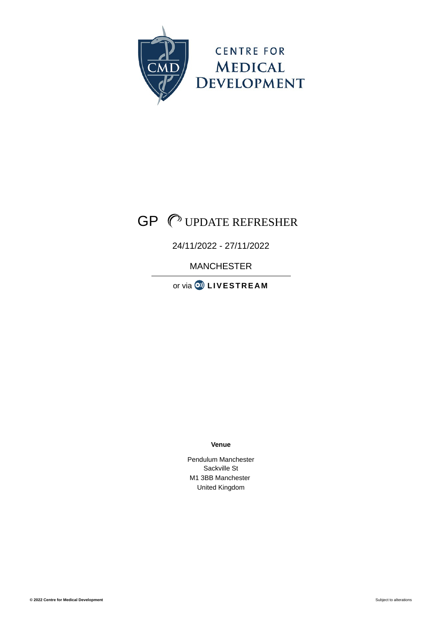

# GP UPDATE REFRESHER

## 24/11/2022 - 27/11/2022

MANCHESTER

or via  $\circledcirc$  **[LIVESTREA](https://www.cmed.org.uk/gp-update-refresher-manchester-1122#fomf-livestream)M** 

**Venue**

Pendulum Manchester Sackville St M1 3BB Manchester United Kingdom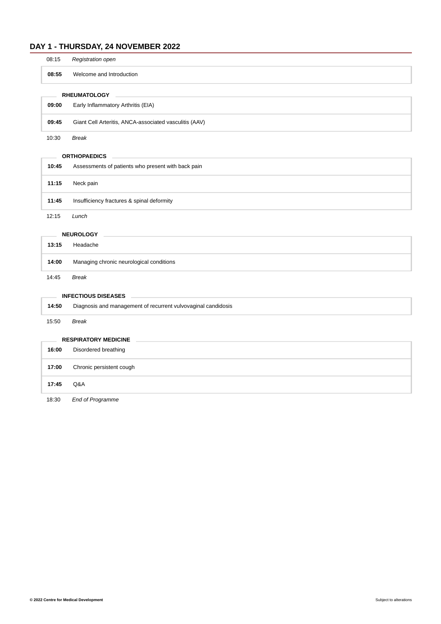## **DAY 1 - THURSDAY, 24 NOVEMBER 2022**

| 08:15               | Registration open                                      |
|---------------------|--------------------------------------------------------|
| 08:55               | Welcome and Introduction                               |
| <b>RHEUMATOLOGY</b> |                                                        |
| 09:00               | Early Inflammatory Arthritis (EIA)                     |
| 09:45               | Giant Cell Arteritis, ANCA-associated vasculitis (AAV) |
| 10.20               | <b>Drook</b>                                           |

10:30 *Break*

#### **ORTHOPAEDICS**

| 10:45 | Assessments of patients who present with back pain |
|-------|----------------------------------------------------|
| 11:15 | Neck pain                                          |
| 11:45 | Insufficiency fractures & spinal deformity         |
| 12:15 | Lunch                                              |

**NEUROLOGY**

| 13:15 | Headache                                 |
|-------|------------------------------------------|
| 14:00 | Managing chronic neurological conditions |
|       |                                          |

14:45 *Break*

#### **INFECTIOUS DISEASES**

| 14:50                       | Diagnosis and management of recurrent vulvovaginal candidosis |  |
|-----------------------------|---------------------------------------------------------------|--|
| 15:50                       | Break                                                         |  |
| <b>RESPIRATORY MEDICINE</b> |                                                               |  |

| 16:00 | Disordered breathing     |
|-------|--------------------------|
| 17:00 | Chronic persistent cough |
| 17:45 | Q&A                      |

18:30 *End of Programme*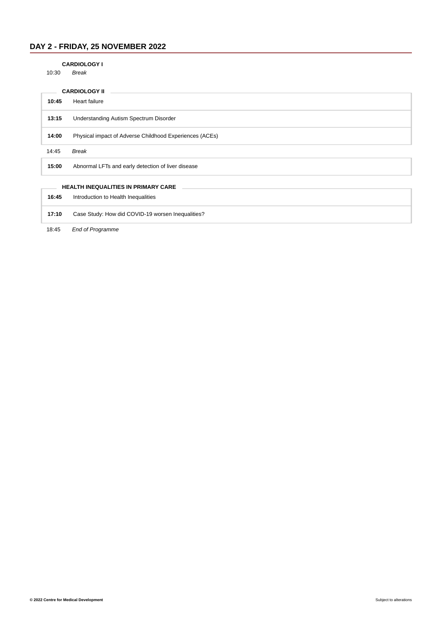## **DAY 2 - FRIDAY, 25 NOVEMBER 2022**

#### **CARDIOLOGY I**

10:30 *Break*

| <b>CARDIOLOGY II</b> |                                                         |
|----------------------|---------------------------------------------------------|
| 10:45                | Heart failure                                           |
| 13:15                | Understanding Autism Spectrum Disorder                  |
| 14:00                | Physical impact of Adverse Childhood Experiences (ACEs) |
| 14:45                | Break                                                   |
| 15:00                | Abnormal LFTs and early detection of liver disease      |
|                      |                                                         |
|                      | <b>HEALTH INEQUALITIES IN PRIMARY CARE</b>              |
| 16:45                | Introduction to Health Inequalities                     |
| 17:10                | Case Study: How did COVID-19 worsen Inequalities?       |

18:45 *End of Programme*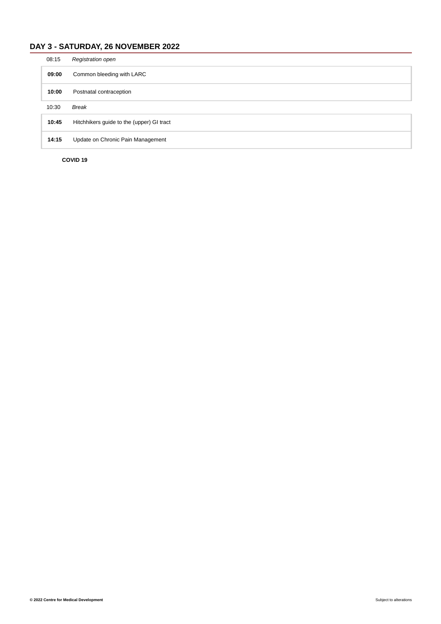## **DAY 3 - SATURDAY, 26 NOVEMBER 2022**

| 08:15 | <b>Registration open</b>                  |
|-------|-------------------------------------------|
| 09:00 | Common bleeding with LARC                 |
| 10:00 | Postnatal contraception                   |
| 10:30 | <b>Break</b>                              |
| 10:45 | Hitchhikers guide to the (upper) GI tract |
| 14:15 | Update on Chronic Pain Management         |
|       |                                           |

**COVID 19**